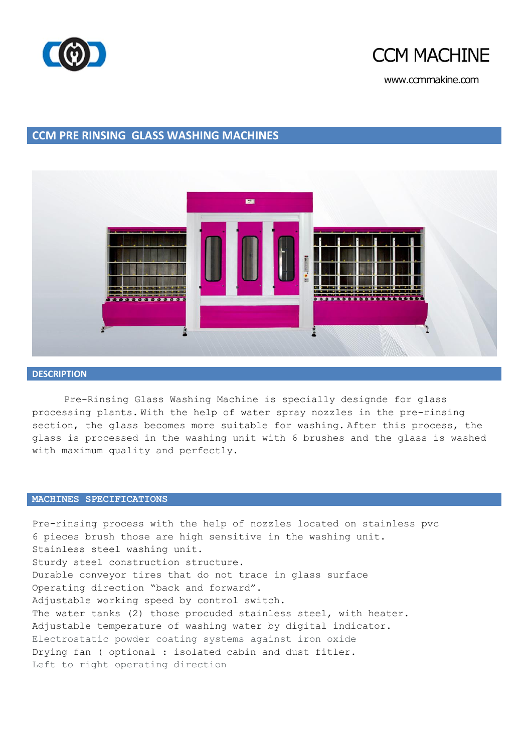



www.ccmmakine.com

## **CCM PRE RINSING GLASS WASHING MACHINES**



#### **DESCRIPTION**

Pre-Rinsing Glass Washing Machine is specially designde for glass processing plants. With the help of water spray nozzles in the pre-rinsing section, the glass becomes more suitable for washing. After this process, the glass is processed in the washing unit with 6 brushes and the glass is washed with maximum quality and perfectly.

### **MACHINES SPECIFICATIONS**

Pre-rinsing process with the help of nozzles located on stainless pvc 6 pieces brush those are high sensitive in the washing unit. Stainless steel washing unit. Sturdy steel construction structure. Durable conveyor tires that do not trace in glass surface Operating direction "back and forward". Adjustable working speed by control switch. The water tanks (2) those procuded stainless steel, with heater. Adjustable temperature of washing water by digital indicator. Electrostatic powder coating systems against iron oxide Drying fan ( optional : isolated cabin and dust fitler. Left to right operating direction